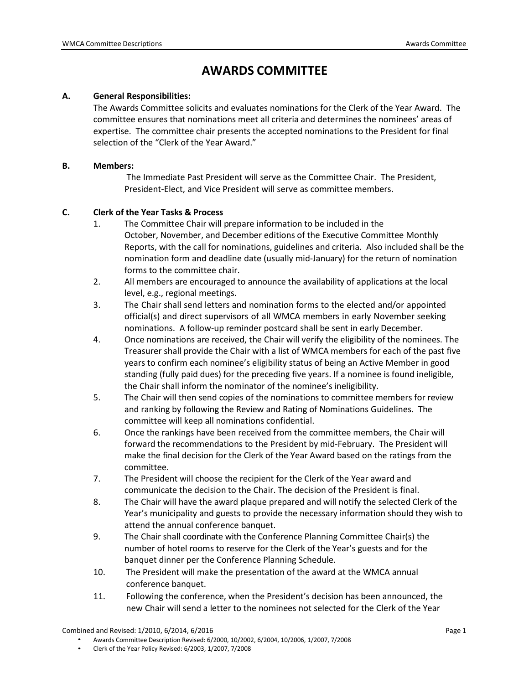# **AWARDS COMMITTEE**

#### **A. General Responsibilities:**

The Awards Committee solicits and evaluates nominations for the Clerk of the Year Award. The committee ensures that nominations meet all criteria and determines the nominees' areas of expertise. The committee chair presents the accepted nominations to the President for final selection of the "Clerk of the Year Award."

#### **B. Members:**

The Immediate Past President will serve as the Committee Chair. The President, President-Elect, and Vice President will serve as committee members.

## **C. Clerk of the Year Tasks & Process**

- 1. The Committee Chair will prepare information to be included in the October, November, and December editions of the Executive Committee Monthly Reports, with the call for nominations, guidelines and criteria. Also included shall be the nomination form and deadline date (usually mid-January) for the return of nomination forms to the committee chair.
- 2. All members are encouraged to announce the availability of applications at the local level, e.g., regional meetings.
- 3. The Chair shall send letters and nomination forms to the elected and/or appointed official(s) and direct supervisors of all WMCA members in early November seeking nominations. A follow-up reminder postcard shall be sent in early December.
- 4. Once nominations are received, the Chair will verify the eligibility of the nominees. The Treasurer shall provide the Chair with a list of WMCA members for each of the past five years to confirm each nominee's eligibility status of being an Active Member in good standing (fully paid dues) for the preceding five years. If a nominee is found ineligible, the Chair shall inform the nominator of the nominee's ineligibility.
- 5. The Chair will then send copies of the nominations to committee members for review and ranking by following the Review and Rating of Nominations Guidelines. The committee will keep all nominations confidential.
- 6. Once the rankings have been received from the committee members, the Chair will forward the recommendations to the President by mid-February. The President will make the final decision for the Clerk of the Year Award based on the ratings from the committee.
- 7. The President will choose the recipient for the Clerk of the Year award and communicate the decision to the Chair. The decision of the President is final.
- 8. The Chair will have the award plaque prepared and will notify the selected Clerk of the Year's municipality and guests to provide the necessary information should they wish to attend the annual conference banquet.
- 9. The Chair shall coordinate with the Conference Planning Committee Chair(s) the number of hotel rooms to reserve for the Clerk of the Year's guests and for the banquet dinner per the Conference Planning Schedule.
- 10. The President will make the presentation of the award at the WMCA annual conference banquet.
- 11. Following the conference, when the President's decision has been announced, the new Chair will send a letter to the nominees not selected for the Clerk of the Year

Combined and Revised: 1/2010, 6/2014, 6/2016 **Page 1 Page 1** 

• Awards Committee Description Revised: 6/2000, 10/2002, 6/2004, 10/2006, 1/2007, 7/2008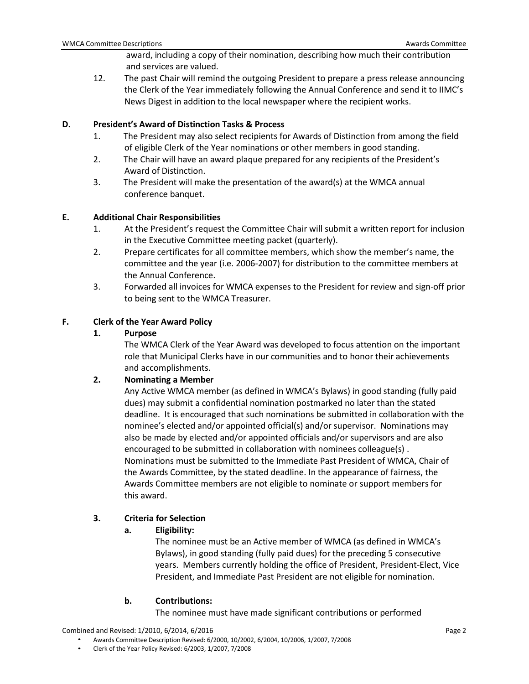award, including a copy of their nomination, describing how much their contribution and services are valued.

12. The past Chair will remind the outgoing President to prepare a press release announcing the Clerk of the Year immediately following the Annual Conference and send it to IIMC's News Digest in addition to the local newspaper where the recipient works.

#### **D. President's Award of Distinction Tasks & Process**

- 1. The President may also select recipients for Awards of Distinction from among the field of eligible Clerk of the Year nominations or other members in good standing.
- 2. The Chair will have an award plaque prepared for any recipients of the President's Award of Distinction.
- 3. The President will make the presentation of the award(s) at the WMCA annual conference banquet.

#### **E. Additional Chair Responsibilities**

- 1. At the President's request the Committee Chair will submit a written report for inclusion in the Executive Committee meeting packet (quarterly).
- 2. Prepare certificates for all committee members, which show the member's name, the committee and the year (i.e. 2006-2007) for distribution to the committee members at the Annual Conference.
- 3. Forwarded all invoices for WMCA expenses to the President for review and sign-off prior to being sent to the WMCA Treasurer.

## **F. Clerk of the Year Award Policy**

#### **1. Purpose**

The WMCA Clerk of the Year Award was developed to focus attention on the important role that Municipal Clerks have in our communities and to honor their achievements and accomplishments.

#### **2. Nominating a Member**

Any Active WMCA member (as defined in WMCA's Bylaws) in good standing (fully paid dues) may submit a confidential nomination postmarked no later than the stated deadline. It is encouraged that such nominations be submitted in collaboration with the nominee's elected and/or appointed official(s) and/or supervisor. Nominations may also be made by elected and/or appointed officials and/or supervisors and are also encouraged to be submitted in collaboration with nominees colleague(s) . Nominations must be submitted to the Immediate Past President of WMCA, Chair of the Awards Committee, by the stated deadline. In the appearance of fairness, the Awards Committee members are not eligible to nominate or support members for this award.

## **3. Criteria for Selection**

#### **a. Eligibility:**

The nominee must be an Active member of WMCA (as defined in WMCA's Bylaws), in good standing (fully paid dues) for the preceding 5 consecutive years. Members currently holding the office of President, President-Elect, Vice President, and Immediate Past President are not eligible for nomination.

#### **b. Contributions:**

The nominee must have made significant contributions or performed

Combined and Revised: 1/2010, 6/2014, 6/2016 **Page 2** Page 2

• Awards Committee Description Revised: 6/2000, 10/2002, 6/2004, 10/2006, 1/2007, 7/2008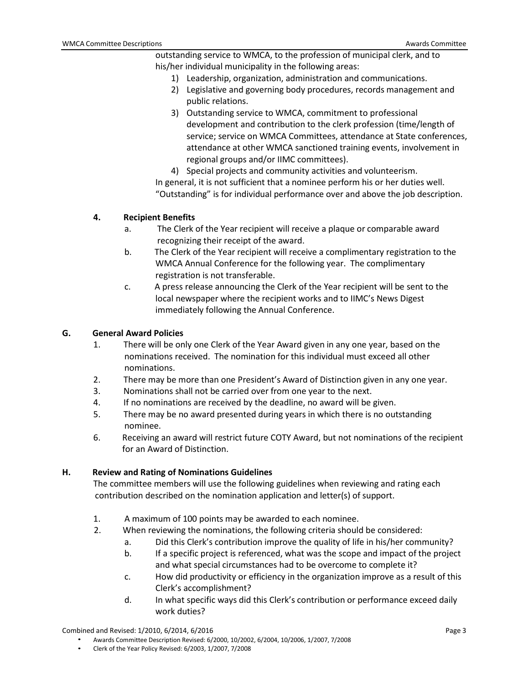outstanding service to WMCA, to the profession of municipal clerk, and to his/her individual municipality in the following areas:

- 1) Leadership, organization, administration and communications.
- 2) Legislative and governing body procedures, records management and public relations.
- 3) Outstanding service to WMCA, commitment to professional development and contribution to the clerk profession (time/length of service; service on WMCA Committees, attendance at State conferences, attendance at other WMCA sanctioned training events, involvement in regional groups and/or IIMC committees).
- 4) Special projects and community activities and volunteerism.

In general, it is not sufficient that a nominee perform his or her duties well. "Outstanding" is for individual performance over and above the job description.

#### **4. Recipient Benefits**

- a. The Clerk of the Year recipient will receive a plaque or comparable award recognizing their receipt of the award.
- b. The Clerk of the Year recipient will receive a complimentary registration to the WMCA Annual Conference for the following year. The complimentary registration is not transferable.
- c. A press release announcing the Clerk of the Year recipient will be sent to the local newspaper where the recipient works and to IIMC's News Digest immediately following the Annual Conference.

#### **G. General Award Policies**

- 1. There will be only one Clerk of the Year Award given in any one year, based on the nominations received. The nomination for this individual must exceed all other nominations.
- 2. There may be more than one President's Award of Distinction given in any one year.
- 3. Nominations shall not be carried over from one year to the next.
- 4. If no nominations are received by the deadline, no award will be given.
- 5. There may be no award presented during years in which there is no outstanding nominee.
- 6. Receiving an award will restrict future COTY Award, but not nominations of the recipient for an Award of Distinction.

#### **H. Review and Rating of Nominations Guidelines**

The committee members will use the following guidelines when reviewing and rating each contribution described on the nomination application and letter(s) of support.

- 1. A maximum of 100 points may be awarded to each nominee.
- 2. When reviewing the nominations, the following criteria should be considered:
	- a. Did this Clerk's contribution improve the quality of life in his/her community?
	- b. If a specific project is referenced, what was the scope and impact of the project and what special circumstances had to be overcome to complete it?
	- c. How did productivity or efficiency in the organization improve as a result of this Clerk's accomplishment?
	- d. In what specific ways did this Clerk's contribution or performance exceed daily work duties?

Combined and Revised: 1/2010, 6/2014, 6/2016 **Page 3** Page 3

• Awards Committee Description Revised: 6/2000, 10/2002, 6/2004, 10/2006, 1/2007, 7/2008

• Clerk of the Year Policy Revised: 6/2003, 1/2007, 7/2008